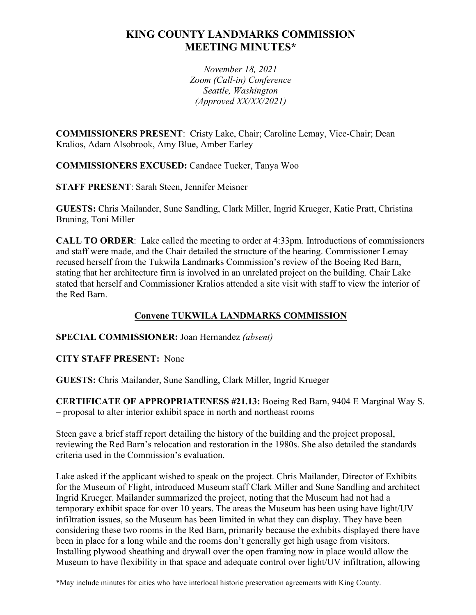# **KING COUNTY LANDMARKS COMMISSION MEETING MINUTES\***

*November 18, 2021 Zoom (Call-in) Conference Seattle, Washington (Approved XX/XX/2021)*

**COMMISSIONERS PRESENT**: Cristy Lake, Chair; Caroline Lemay, Vice-Chair; Dean Kralios, Adam Alsobrook, Amy Blue, Amber Earley

**COMMISSIONERS EXCUSED:** Candace Tucker, Tanya Woo

**STAFF PRESENT**: Sarah Steen, Jennifer Meisner

**GUESTS:** Chris Mailander, Sune Sandling, Clark Miller, Ingrid Krueger, Katie Pratt, Christina Bruning, Toni Miller

**CALL TO ORDER**: Lake called the meeting to order at 4:33pm. Introductions of commissioners and staff were made, and the Chair detailed the structure of the hearing. Commissioner Lemay recused herself from the Tukwila Landmarks Commission's review of the Boeing Red Barn, stating that her architecture firm is involved in an unrelated project on the building. Chair Lake stated that herself and Commissioner Kralios attended a site visit with staff to view the interior of the Red Barn.

### **Convene TUKWILA LANDMARKS COMMISSION**

#### **SPECIAL COMMISSIONER:** Joan Hernandez *(absent)*

**CITY STAFF PRESENT:** None

**GUESTS:** Chris Mailander, Sune Sandling, Clark Miller, Ingrid Krueger

**CERTIFICATE OF APPROPRIATENESS #21.13:** Boeing Red Barn, 9404 E Marginal Way S. – proposal to alter interior exhibit space in north and northeast rooms

Steen gave a brief staff report detailing the history of the building and the project proposal, reviewing the Red Barn's relocation and restoration in the 1980s. She also detailed the standards criteria used in the Commission's evaluation.

Lake asked if the applicant wished to speak on the project. Chris Mailander, Director of Exhibits for the Museum of Flight, introduced Museum staff Clark Miller and Sune Sandling and architect Ingrid Krueger. Mailander summarized the project, noting that the Museum had not had a temporary exhibit space for over 10 years. The areas the Museum has been using have light/UV infiltration issues, so the Museum has been limited in what they can display. They have been considering these two rooms in the Red Barn, primarily because the exhibits displayed there have been in place for a long while and the rooms don't generally get high usage from visitors. Installing plywood sheathing and drywall over the open framing now in place would allow the Museum to have flexibility in that space and adequate control over light/UV infiltration, allowing

\*May include minutes for cities who have interlocal historic preservation agreements with King County.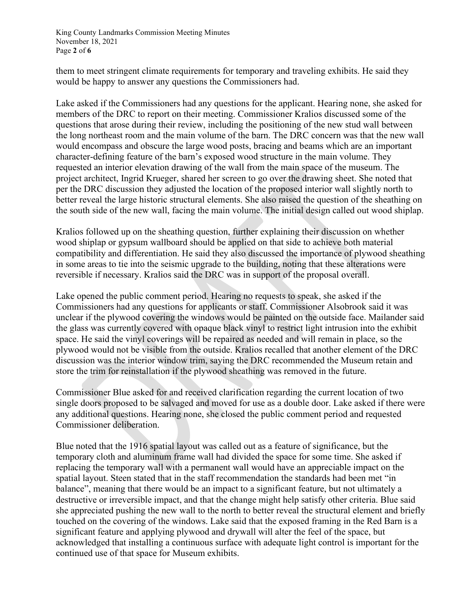King County Landmarks Commission Meeting Minutes November 18, 2021 Page **2** of **6**

them to meet stringent climate requirements for temporary and traveling exhibits. He said they would be happy to answer any questions the Commissioners had.

Lake asked if the Commissioners had any questions for the applicant. Hearing none, she asked for members of the DRC to report on their meeting. Commissioner Kralios discussed some of the questions that arose during their review, including the positioning of the new stud wall between the long northeast room and the main volume of the barn. The DRC concern was that the new wall would encompass and obscure the large wood posts, bracing and beams which are an important character-defining feature of the barn's exposed wood structure in the main volume. They requested an interior elevation drawing of the wall from the main space of the museum. The project architect, Ingrid Krueger, shared her screen to go over the drawing sheet. She noted that per the DRC discussion they adjusted the location of the proposed interior wall slightly north to better reveal the large historic structural elements. She also raised the question of the sheathing on the south side of the new wall, facing the main volume. The initial design called out wood shiplap.

Kralios followed up on the sheathing question, further explaining their discussion on whether wood shiplap or gypsum wallboard should be applied on that side to achieve both material compatibility and differentiation. He said they also discussed the importance of plywood sheathing in some areas to tie into the seismic upgrade to the building, noting that these alterations were reversible if necessary. Kralios said the DRC was in support of the proposal overall.

Lake opened the public comment period. Hearing no requests to speak, she asked if the Commissioners had any questions for applicants or staff. Commissioner Alsobrook said it was unclear if the plywood covering the windows would be painted on the outside face. Mailander said the glass was currently covered with opaque black vinyl to restrict light intrusion into the exhibit space. He said the vinyl coverings will be repaired as needed and will remain in place, so the plywood would not be visible from the outside. Kralios recalled that another element of the DRC discussion was the interior window trim, saying the DRC recommended the Museum retain and store the trim for reinstallation if the plywood sheathing was removed in the future.

Commissioner Blue asked for and received clarification regarding the current location of two single doors proposed to be salvaged and moved for use as a double door. Lake asked if there were any additional questions. Hearing none, she closed the public comment period and requested Commissioner deliberation.

Blue noted that the 1916 spatial layout was called out as a feature of significance, but the temporary cloth and aluminum frame wall had divided the space for some time. She asked if replacing the temporary wall with a permanent wall would have an appreciable impact on the spatial layout. Steen stated that in the staff recommendation the standards had been met "in balance", meaning that there would be an impact to a significant feature, but not ultimately a destructive or irreversible impact, and that the change might help satisfy other criteria. Blue said she appreciated pushing the new wall to the north to better reveal the structural element and briefly touched on the covering of the windows. Lake said that the exposed framing in the Red Barn is a significant feature and applying plywood and drywall will alter the feel of the space, but acknowledged that installing a continuous surface with adequate light control is important for the continued use of that space for Museum exhibits.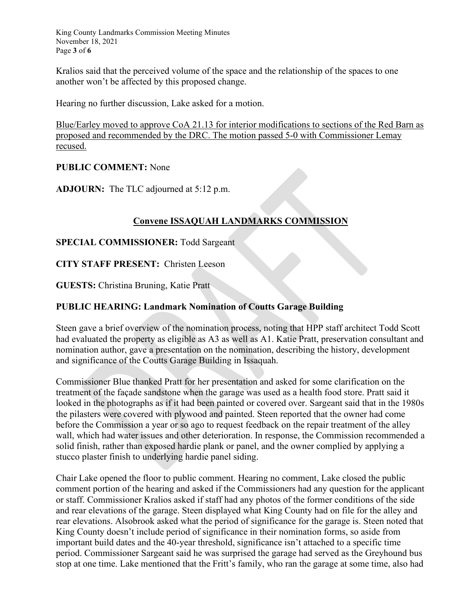King County Landmarks Commission Meeting Minutes November 18, 2021 Page **3** of **6**

Kralios said that the perceived volume of the space and the relationship of the spaces to one another won't be affected by this proposed change.

Hearing no further discussion, Lake asked for a motion.

Blue/Earley moved to approve CoA 21.13 for interior modifications to sections of the Red Barn as proposed and recommended by the DRC. The motion passed 5-0 with Commissioner Lemay recused.

#### **PUBLIC COMMENT:** None

**ADJOURN:** The TLC adjourned at 5:12 p.m.

## **Convene ISSAQUAH LANDMARKS COMMISSION**

#### **SPECIAL COMMISSIONER:** Todd Sargeant

**CITY STAFF PRESENT:** Christen Leeson

**GUESTS:** Christina Bruning, Katie Pratt

### **PUBLIC HEARING: Landmark Nomination of Coutts Garage Building**

Steen gave a brief overview of the nomination process, noting that HPP staff architect Todd Scott had evaluated the property as eligible as A3 as well as A1. Katie Pratt, preservation consultant and nomination author, gave a presentation on the nomination, describing the history, development and significance of the Coutts Garage Building in Issaquah.

Commissioner Blue thanked Pratt for her presentation and asked for some clarification on the treatment of the façade sandstone when the garage was used as a health food store. Pratt said it looked in the photographs as if it had been painted or covered over. Sargeant said that in the 1980s the pilasters were covered with plywood and painted. Steen reported that the owner had come before the Commission a year or so ago to request feedback on the repair treatment of the alley wall, which had water issues and other deterioration. In response, the Commission recommended a solid finish, rather than exposed hardie plank or panel, and the owner complied by applying a stucco plaster finish to underlying hardie panel siding.

Chair Lake opened the floor to public comment. Hearing no comment, Lake closed the public comment portion of the hearing and asked if the Commissioners had any question for the applicant or staff. Commissioner Kralios asked if staff had any photos of the former conditions of the side and rear elevations of the garage. Steen displayed what King County had on file for the alley and rear elevations. Alsobrook asked what the period of significance for the garage is. Steen noted that King County doesn't include period of significance in their nomination forms, so aside from important build dates and the 40-year threshold, significance isn't attached to a specific time period. Commissioner Sargeant said he was surprised the garage had served as the Greyhound bus stop at one time. Lake mentioned that the Fritt's family, who ran the garage at some time, also had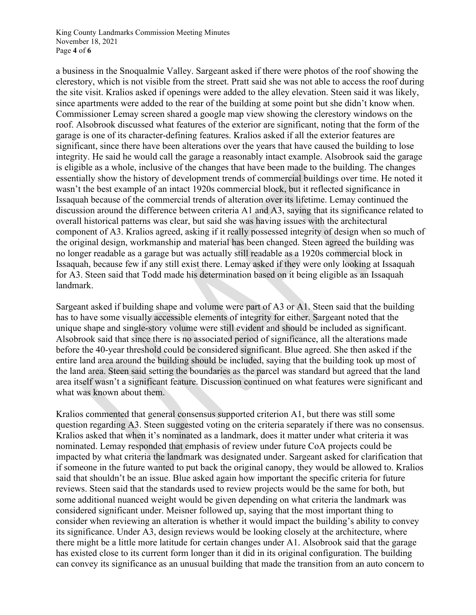King County Landmarks Commission Meeting Minutes November 18, 2021 Page **4** of **6**

a business in the Snoqualmie Valley. Sargeant asked if there were photos of the roof showing the clerestory, which is not visible from the street. Pratt said she was not able to access the roof during the site visit. Kralios asked if openings were added to the alley elevation. Steen said it was likely, since apartments were added to the rear of the building at some point but she didn't know when. Commissioner Lemay screen shared a google map view showing the clerestory windows on the roof. Alsobrook discussed what features of the exterior are significant, noting that the form of the garage is one of its character-defining features. Kralios asked if all the exterior features are significant, since there have been alterations over the years that have caused the building to lose integrity. He said he would call the garage a reasonably intact example. Alsobrook said the garage is eligible as a whole, inclusive of the changes that have been made to the building. The changes essentially show the history of development trends of commercial buildings over time. He noted it wasn't the best example of an intact 1920s commercial block, but it reflected significance in Issaquah because of the commercial trends of alteration over its lifetime. Lemay continued the discussion around the difference between criteria A1 and A3, saying that its significance related to overall historical patterns was clear, but said she was having issues with the architectural component of A3. Kralios agreed, asking if it really possessed integrity of design when so much of the original design, workmanship and material has been changed. Steen agreed the building was no longer readable as a garage but was actually still readable as a 1920s commercial block in Issaquah, because few if any still exist there. Lemay asked if they were only looking at Issaquah for A3. Steen said that Todd made his determination based on it being eligible as an Issaquah landmark.

Sargeant asked if building shape and volume were part of A3 or A1. Steen said that the building has to have some visually accessible elements of integrity for either. Sargeant noted that the unique shape and single-story volume were still evident and should be included as significant. Alsobrook said that since there is no associated period of significance, all the alterations made before the 40-year threshold could be considered significant. Blue agreed. She then asked if the entire land area around the building should be included, saying that the building took up most of the land area. Steen said setting the boundaries as the parcel was standard but agreed that the land area itself wasn't a significant feature. Discussion continued on what features were significant and what was known about them.

Kralios commented that general consensus supported criterion A1, but there was still some question regarding A3. Steen suggested voting on the criteria separately if there was no consensus. Kralios asked that when it's nominated as a landmark, does it matter under what criteria it was nominated. Lemay responded that emphasis of review under future CoA projects could be impacted by what criteria the landmark was designated under. Sargeant asked for clarification that if someone in the future wanted to put back the original canopy, they would be allowed to. Kralios said that shouldn't be an issue. Blue asked again how important the specific criteria for future reviews. Steen said that the standards used to review projects would be the same for both, but some additional nuanced weight would be given depending on what criteria the landmark was considered significant under. Meisner followed up, saying that the most important thing to consider when reviewing an alteration is whether it would impact the building's ability to convey its significance. Under A3, design reviews would be looking closely at the architecture, where there might be a little more latitude for certain changes under A1. Alsobrook said that the garage has existed close to its current form longer than it did in its original configuration. The building can convey its significance as an unusual building that made the transition from an auto concern to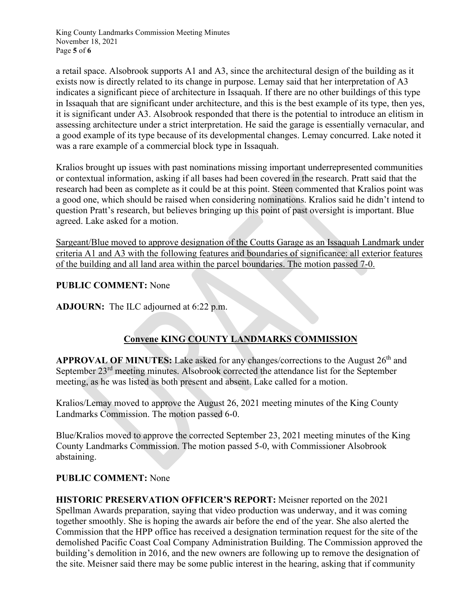King County Landmarks Commission Meeting Minutes November 18, 2021 Page **5** of **6**

a retail space. Alsobrook supports A1 and A3, since the architectural design of the building as it exists now is directly related to its change in purpose. Lemay said that her interpretation of A3 indicates a significant piece of architecture in Issaquah. If there are no other buildings of this type in Issaquah that are significant under architecture, and this is the best example of its type, then yes, it is significant under A3. Alsobrook responded that there is the potential to introduce an elitism in assessing architecture under a strict interpretation. He said the garage is essentially vernacular, and a good example of its type because of its developmental changes. Lemay concurred. Lake noted it was a rare example of a commercial block type in Issaquah.

Kralios brought up issues with past nominations missing important underrepresented communities or contextual information, asking if all bases had been covered in the research. Pratt said that the research had been as complete as it could be at this point. Steen commented that Kralios point was a good one, which should be raised when considering nominations. Kralios said he didn't intend to question Pratt's research, but believes bringing up this point of past oversight is important. Blue agreed. Lake asked for a motion.

Sargeant/Blue moved to approve designation of the Coutts Garage as an Issaquah Landmark under criteria A1 and A3 with the following features and boundaries of significance: all exterior features of the building and all land area within the parcel boundaries. The motion passed 7-0.

#### **PUBLIC COMMENT:** None

**ADJOURN:** The ILC adjourned at 6:22 p.m.

## **Convene KING COUNTY LANDMARKS COMMISSION**

**APPROVAL OF MINUTES:** Lake asked for any changes/corrections to the August 26<sup>th</sup> and September 23<sup>rd</sup> meeting minutes. Alsobrook corrected the attendance list for the September meeting, as he was listed as both present and absent. Lake called for a motion.

Kralios/Lemay moved to approve the August 26, 2021 meeting minutes of the King County Landmarks Commission. The motion passed 6-0.

Blue/Kralios moved to approve the corrected September 23, 2021 meeting minutes of the King County Landmarks Commission. The motion passed 5-0, with Commissioner Alsobrook abstaining.

#### **PUBLIC COMMENT:** None

**HISTORIC PRESERVATION OFFICER'S REPORT:** Meisner reported on the 2021 Spellman Awards preparation, saying that video production was underway, and it was coming together smoothly. She is hoping the awards air before the end of the year. She also alerted the Commission that the HPP office has received a designation termination request for the site of the demolished Pacific Coast Coal Company Administration Building. The Commission approved the building's demolition in 2016, and the new owners are following up to remove the designation of the site. Meisner said there may be some public interest in the hearing, asking that if community